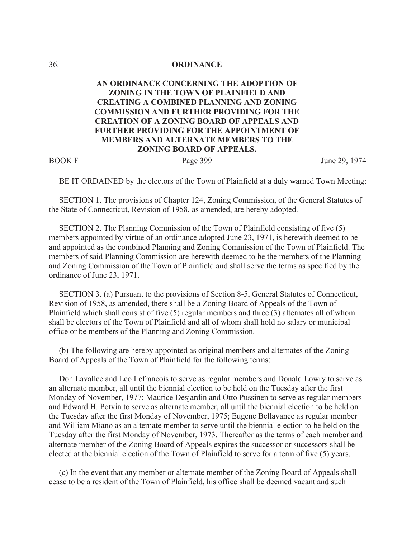## 36. **ORDINANCE**

## **AN ORDINANCE CONCERNING THE ADOPTION OF ZONING IN THE TOWN OF PLAINFIELD AND CREATING A COMBINED PLANNING AND ZONING COMMISSION AND FURTHER PROVIDING FOR THE CREATION OF A ZONING BOARD OF APPEALS AND FURTHER PROVIDING FOR THE APPOINTMENT OF MEMBERS AND ALTERNATE MEMBERS TO THE ZONING BOARD OF APPEALS.**

BOOK F Page 399 June 29, 1974

BE IT ORDAINED by the electors of the Town of Plainfield at a duly warned Town Meeting:

 SECTION 1. The provisions of Chapter 124, Zoning Commission, of the General Statutes of the State of Connecticut, Revision of 1958, as amended, are hereby adopted.

 SECTION 2. The Planning Commission of the Town of Plainfield consisting of five (5) members appointed by virtue of an ordinance adopted June 23, 1971, is herewith deemed to be and appointed as the combined Planning and Zoning Commission of the Town of Plainfield. The members of said Planning Commission are herewith deemed to be the members of the Planning and Zoning Commission of the Town of Plainfield and shall serve the terms as specified by the ordinance of June 23, 1971.

 SECTION 3. (a) Pursuant to the provisions of Section 8-5, General Statutes of Connecticut, Revision of 1958, as amended, there shall be a Zoning Board of Appeals of the Town of Plainfield which shall consist of five (5) regular members and three (3) alternates all of whom shall be electors of the Town of Plainfield and all of whom shall hold no salary or municipal office or be members of the Planning and Zoning Commission.

 (b) The following are hereby appointed as original members and alternates of the Zoning Board of Appeals of the Town of Plainfield for the following terms:

 Don Lavallee and Leo Lefrancois to serve as regular members and Donald Lowry to serve as an alternate member, all until the biennial election to be held on the Tuesday after the first Monday of November, 1977; Maurice Desjardin and Otto Pussinen to serve as regular members and Edward H. Potvin to serve as alternate member, all until the biennial election to be held on the Tuesday after the first Monday of November, 1975; Eugene Bellavance as regular member and William Miano as an alternate member to serve until the biennial election to be held on the Tuesday after the first Monday of November, 1973. Thereafter as the terms of each member and alternate member of the Zoning Board of Appeals expires the successor or successors shall be elected at the biennial election of the Town of Plainfield to serve for a term of five (5) years.

 (c) In the event that any member or alternate member of the Zoning Board of Appeals shall cease to be a resident of the Town of Plainfield, his office shall be deemed vacant and such